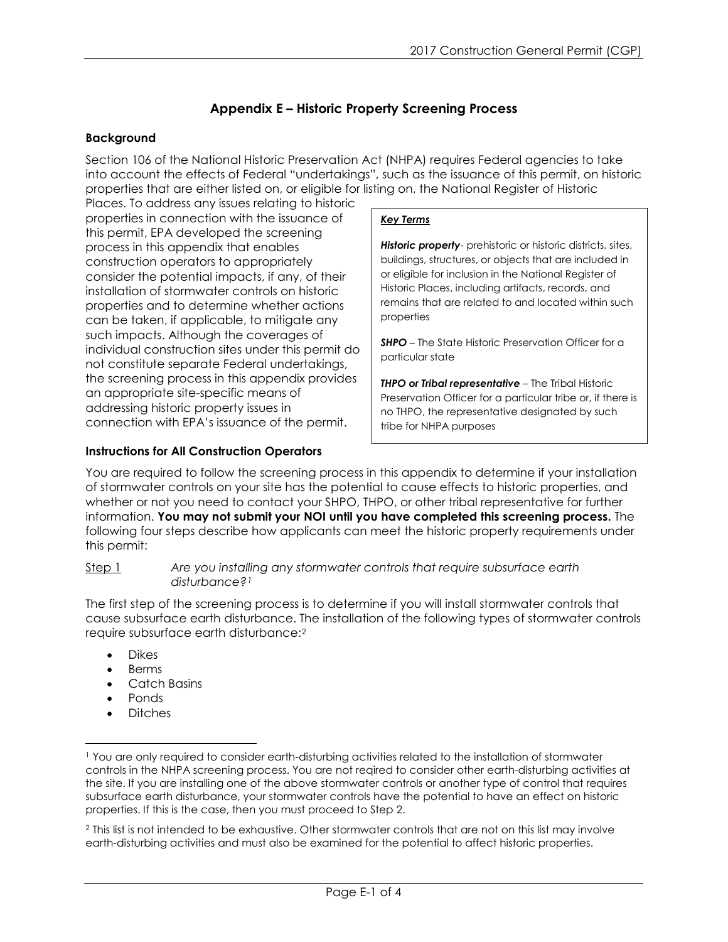# **Appendix E – Historic Property Screening Process**

### **Background**

Section 106 of the National Historic Preservation Act (NHPA) requires Federal agencies to take into account the effects of Federal "undertakings", such as the issuance of this permit, on historic properties that are either listed on, or eligible for listing on, the National Register of Historic

Places. To address any issues relating to historic properties in connection with the issuance of this permit, EPA developed the screening process in this appendix that enables construction operators to appropriately consider the potential impacts, if any, of their installation of stormwater controls on historic properties and to determine whether actions can be taken, if applicable, to mitigate any such impacts. Although the coverages of individual construction sites under this permit do not constitute separate Federal undertakings, the screening process in this appendix provides an appropriate site-specific means of addressing historic property issues in connection with EPA's issuance of the permit.

## **Instructions for All Construction Operators**

### *Key Terms*

*Historic property*- prehistoric or historic districts, sites, buildings, structures, or objects that are included in or eligible for inclusion in the National Register of Historic Places, including artifacts, records, and remains that are related to and located within such properties

**SHPO** – The State Historic Preservation Officer for a particular state

*THPO or Tribal representative* – The Tribal Historic Preservation Officer for a particular tribe or, if there is no THPO, the representative designated by such tribe for NHPA purposes

You are required to follow the screening process in this appendix to determine if your installation of stormwater controls on your site has the potential to cause effects to historic properties, and whether or not you need to contact your SHPO, THPO, or other tribal representative for further information. **You may not submit your NOI until you have completed this screening process.** The following four steps describe how applicants can meet the historic property requirements under this permit:

#### Step 1 *Are you installing any stormwater controls that require subsurface earth disturbance?[1](#page-0-0)*

The first step of the screening process is to determine if you will install stormwater controls that cause subsurface earth disturbance. The installation of the following types of stormwater controls require subsurface earth disturbance:[2](#page-0-1) 

- Dikes
- **Berms**
- Catch Basins
- Ponds

 $\overline{\phantom{a}}$ 

• Ditches

<span id="page-0-0"></span><sup>1</sup> You are only required to consider earth-disturbing activities related to the installation of stormwater controls in the NHPA screening process. You are not reqired to consider other earth-disturbing activities at the site. If you are installing one of the above stormwater controls or another type of control that requires subsurface earth disturbance, your stormwater controls have the potential to have an effect on historic properties. If this is the case, then you must proceed to Step 2.

<span id="page-0-1"></span><sup>2</sup> This list is not intended to be exhaustive. Other stormwater controls that are not on this list may involve earth-disturbing activities and must also be examined for the potential to affect historic properties.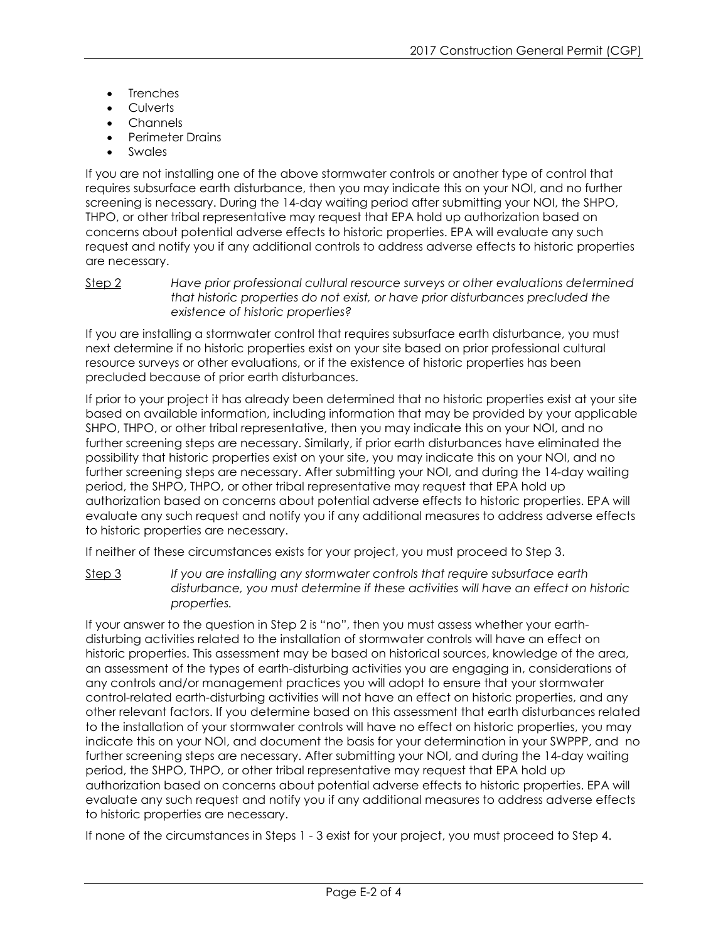- **Trenches**
- Culverts
- Channels
- Perimeter Drains
- **Swales**

If you are not installing one of the above stormwater controls or another type of control that requires subsurface earth disturbance, then you may indicate this on your NOI, and no further screening is necessary. During the 14-day waiting period after submitting your NOI, the SHPO, THPO, or other tribal representative may request that EPA hold up authorization based on concerns about potential adverse effects to historic properties. EPA will evaluate any such request and notify you if any additional controls to address adverse effects to historic properties are necessary.

Step 2 *Have prior professional cultural resource surveys or other evaluations determined that historic properties do not exist, or have prior disturbances precluded the existence of historic properties?*

If you are installing a stormwater control that requires subsurface earth disturbance, you must next determine if no historic properties exist on your site based on prior professional cultural resource surveys or other evaluations, or if the existence of historic properties has been precluded because of prior earth disturbances.

If prior to your project it has already been determined that no historic properties exist at your site based on available information, including information that may be provided by your applicable SHPO, THPO, or other tribal representative, then you may indicate this on your NOI, and no further screening steps are necessary. Similarly, if prior earth disturbances have eliminated the possibility that historic properties exist on your site, you may indicate this on your NOI, and no further screening steps are necessary. After submitting your NOI, and during the 14-day waiting period, the SHPO, THPO, or other tribal representative may request that EPA hold up authorization based on concerns about potential adverse effects to historic properties. EPA will evaluate any such request and notify you if any additional measures to address adverse effects to historic properties are necessary.

If neither of these circumstances exists for your project, you must proceed to Step 3.

Step 3 *If you are installing any stormwater controls that require subsurface earth disturbance, you must determine if these activities will have an effect on historic properties.* 

If your answer to the question in Step 2 is "no", then you must assess whether your earthdisturbing activities related to the installation of stormwater controls will have an effect on historic properties. This assessment may be based on historical sources, knowledge of the area, an assessment of the types of earth-disturbing activities you are engaging in, considerations of any controls and/or management practices you will adopt to ensure that your stormwater control-related earth-disturbing activities will not have an effect on historic properties, and any other relevant factors. If you determine based on this assessment that earth disturbances related to the installation of your stormwater controls will have no effect on historic properties, you may indicate this on your NOI, and document the basis for your determination in your SWPPP, and no further screening steps are necessary. After submitting your NOI, and during the 14-day waiting period, the SHPO, THPO, or other tribal representative may request that EPA hold up authorization based on concerns about potential adverse effects to historic properties. EPA will evaluate any such request and notify you if any additional measures to address adverse effects to historic properties are necessary.

If none of the circumstances in Steps 1 - 3 exist for your project, you must proceed to Step 4.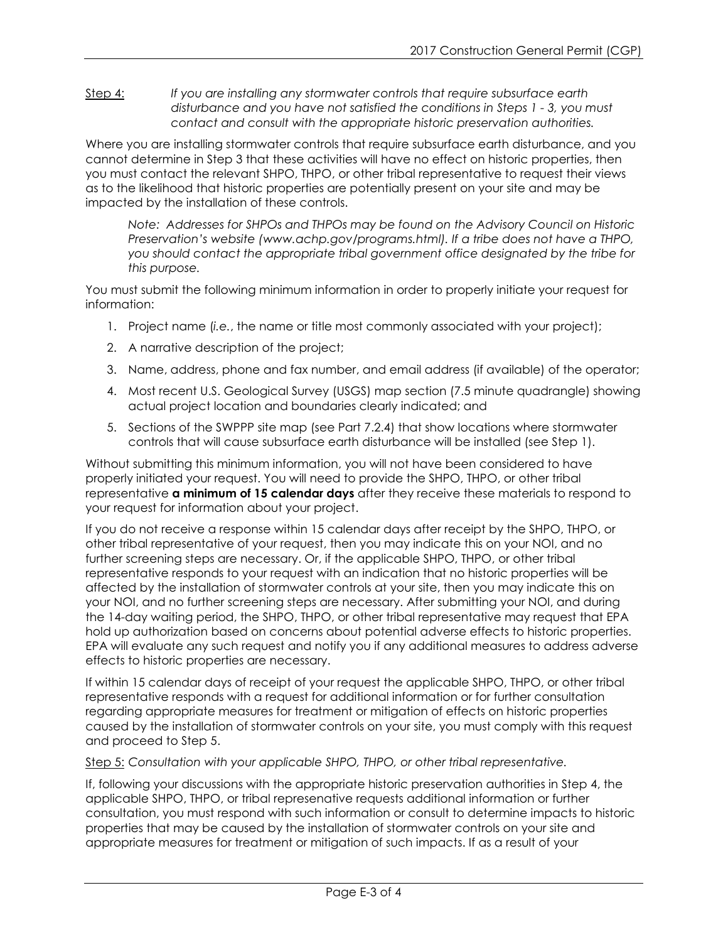Step 4: *If you are installing any stormwater controls that require subsurface earth disturbance and you have not satisfied the conditions in Steps 1 - 3, you must contact and consult with the appropriate historic preservation authorities.* 

Where you are installing stormwater controls that require subsurface earth disturbance, and you cannot determine in Step 3 that these activities will have no effect on historic properties, then you must contact the relevant SHPO, THPO, or other tribal representative to request their views as to the likelihood that historic properties are potentially present on your site and may be impacted by the installation of these controls.

*Note: Addresses for SHPOs and THPOs may be found on the Advisory Council on Historic Preservation's website (www.achp.gov/programs.html). If a tribe does not have a THPO, you should contact the appropriate tribal government office designated by the tribe for this purpose.* 

You must submit the following minimum information in order to properly initiate your request for information:

- 1. Project name (*i.e.*, the name or title most commonly associated with your project);
- 2. A narrative description of the project;
- 3. Name, address, phone and fax number, and email address (if available) of the operator;
- 4. Most recent U.S. Geological Survey (USGS) map section (7.5 minute quadrangle) showing actual project location and boundaries clearly indicated; and
- 5. Sections of the SWPPP site map (see Part 7.2.4) that show locations where stormwater controls that will cause subsurface earth disturbance will be installed (see Step 1).

Without submitting this minimum information, you will not have been considered to have properly initiated your request. You will need to provide the SHPO, THPO, or other tribal representative **a minimum of 15 calendar days** after they receive these materials to respond to your request for information about your project.

If you do not receive a response within 15 calendar days after receipt by the SHPO, THPO, or other tribal representative of your request, then you may indicate this on your NOI, and no further screening steps are necessary. Or, if the applicable SHPO, THPO, or other tribal representative responds to your request with an indication that no historic properties will be affected by the installation of stormwater controls at your site, then you may indicate this on your NOI, and no further screening steps are necessary. After submitting your NOI, and during the 14-day waiting period, the SHPO, THPO, or other tribal representative may request that EPA hold up authorization based on concerns about potential adverse effects to historic properties. EPA will evaluate any such request and notify you if any additional measures to address adverse effects to historic properties are necessary.

If within 15 calendar days of receipt of your request the applicable SHPO, THPO, or other tribal representative responds with a request for additional information or for further consultation regarding appropriate measures for treatment or mitigation of effects on historic properties caused by the installation of stormwater controls on your site, you must comply with this request and proceed to Step 5.

Step 5: *Consultation with your applicable SHPO, THPO, or other tribal representative.*

If, following your discussions with the appropriate historic preservation authorities in Step 4, the applicable SHPO, THPO, or tribal represenative requests additional information or further consultation, you must respond with such information or consult to determine impacts to historic properties that may be caused by the installation of stormwater controls on your site and appropriate measures for treatment or mitigation of such impacts. If as a result of your